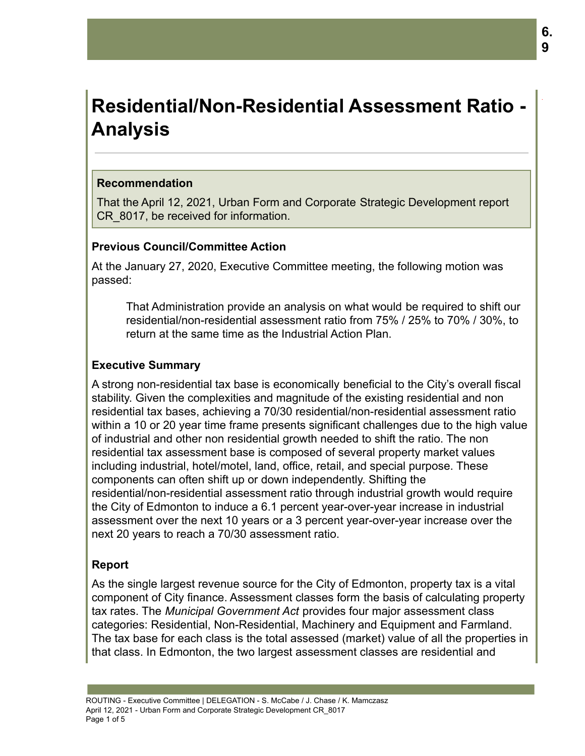# **Residential/Non-Residential Assessment Ratio - Analysis**

#### **Recommendation**

That the April 12, 2021, Urban Form and Corporate Strategic Development report CR 8017, be received for information.

## **Previous Council/Committee Action**

At the January 27, 2020, Executive Committee meeting, the following motion was passed:

That Administration provide an analysis on what would be required to shift our residential/non-residential assessment ratio from 75% / 25% to 70% / 30%, to return at the same time as the Industrial Action Plan.

## **Executive Summary**

A strong non-residential tax base is economically beneficial to the City's overall fiscal stability. Given the complexities and magnitude of the existing residential and non residential tax bases, achieving a 70/30 residential/non-residential assessment ratio within a 10 or 20 year time frame presents significant challenges due to the high value of industrial and other non residential growth needed to shift the ratio. The non residential tax assessment base is composed of several property market values including industrial, hotel/motel, land, office, retail, and special purpose. These components can often shift up or down independently. Shifting the residential/non-residential assessment ratio through industrial growth would require the City of Edmonton to induce a 6.1 percent year-over-year increase in industrial assessment over the next 10 years or a 3 percent year-over-year increase over the next 20 years to reach a 70/30 assessment ratio.

## **Report**

As the single largest revenue source for the City of Edmonton, property tax is a vital component of City finance. Assessment classes form the basis of calculating property tax rates. The *Municipal Government Act* provides four major assessment class categories: Residential, Non-Residential, Machinery and Equipment and Farmland. The tax base for each class is the total assessed (market) value of all the properties in that class. In Edmonton, the two largest assessment classes are residential and

.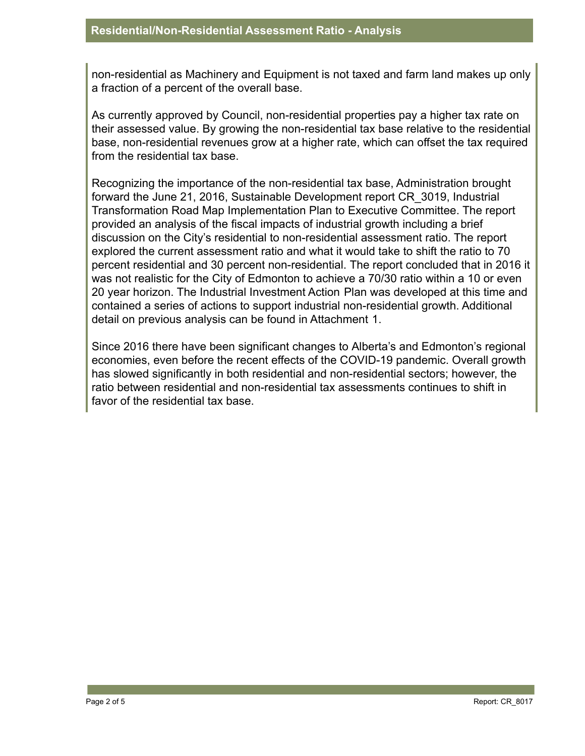non-residential as Machinery and Equipment is not taxed and farm land makes up only a fraction of a percent of the overall base.

As currently approved by Council, non-residential properties pay a higher tax rate on their assessed value. By growing the non-residential tax base relative to the residential base, non-residential revenues grow at a higher rate, which can offset the tax required from the residential tax base.

Recognizing the importance of the non-residential tax base, Administration brought forward the June 21, 2016, Sustainable Development report CR\_3019, Industrial Transformation Road Map Implementation Plan to Executive Committee. The report provided an analysis of the fiscal impacts of industrial growth including a brief discussion on the City's residential to non-residential assessment ratio. The report explored the current assessment ratio and what it would take to shift the ratio to 70 percent residential and 30 percent non-residential. The report concluded that in 2016 it was not realistic for the City of Edmonton to achieve a 70/30 ratio within a 10 or even 20 year horizon. The Industrial Investment Action Plan was developed at this time and contained a series of actions to support industrial non-residential growth. Additional detail on previous analysis can be found in Attachment 1.

Since 2016 there have been significant changes to Alberta's and Edmonton's regional economies, even before the recent effects of the COVID-19 pandemic. Overall growth has slowed significantly in both residential and non-residential sectors; however, the ratio between residential and non-residential tax assessments continues to shift in favor of the residential tax base.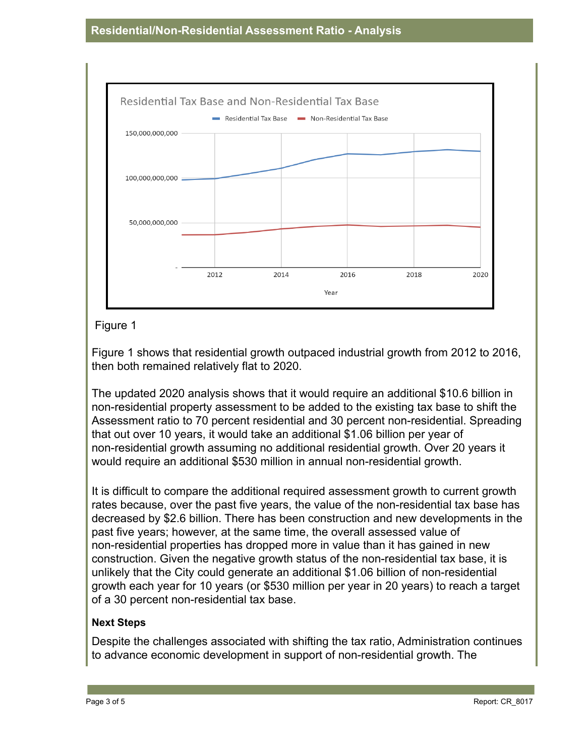

# Figure 1

Figure 1 shows that residential growth outpaced industrial growth from 2012 to 2016, then both remained relatively flat to 2020.

The updated 2020 analysis shows that it would require an additional \$10.6 billion in non-residential property assessment to be added to the existing tax base to shift the Assessment ratio to 70 percent residential and 30 percent non-residential. Spreading that out over 10 years, it would take an additional \$1.06 billion per year of non-residential growth assuming no additional residential growth. Over 20 years it would require an additional \$530 million in annual non-residential growth.

It is difficult to compare the additional required assessment growth to current growth rates because, over the past five years, the value of the non-residential tax base has decreased by \$2.6 billion. There has been construction and new developments in the past five years; however, at the same time, the overall assessed value of non-residential properties has dropped more in value than it has gained in new construction. Given the negative growth status of the non-residential tax base, it is unlikely that the City could generate an additional \$1.06 billion of non-residential growth each year for 10 years (or \$530 million per year in 20 years) to reach a target of a 30 percent non-residential tax base.

# **Next Steps**

Despite the challenges associated with shifting the tax ratio, Administration continues to advance economic development in support of non-residential growth. The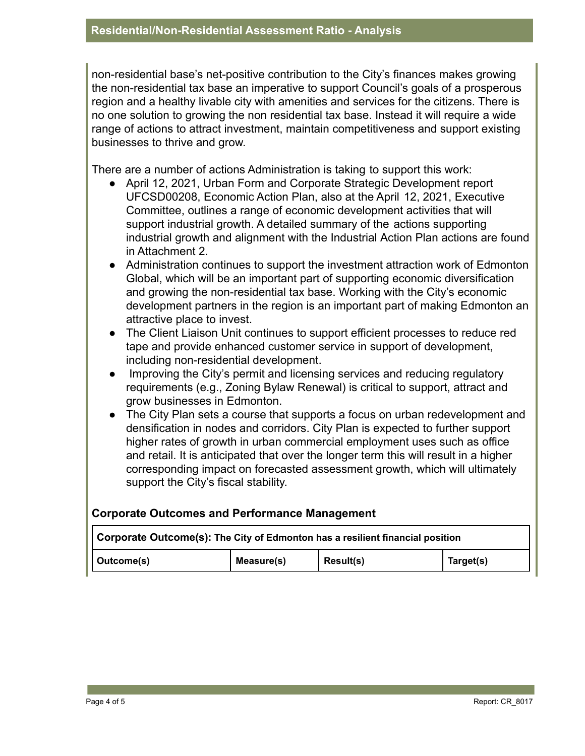non-residential base's net-positive contribution to the City's finances makes growing the non-residential tax base an imperative to support Council's goals of a prosperous region and a healthy livable city with amenities and services for the citizens. There is no one solution to growing the non residential tax base. Instead it will require a wide range of actions to attract investment, maintain competitiveness and support existing businesses to thrive and grow.

There are a number of actions Administration is taking to support this work:

- April 12, 2021, Urban Form and Corporate Strategic Development report UFCSD00208, Economic Action Plan, also at the April 12, 2021, Executive Committee, outlines a range of economic development activities that will support industrial growth. A detailed summary of the actions supporting industrial growth and alignment with the Industrial Action Plan actions are found in Attachment 2.
- Administration continues to support the investment attraction work of Edmonton Global, which will be an important part of supporting economic diversification and growing the non-residential tax base. Working with the City's economic development partners in the region is an important part of making Edmonton an attractive place to invest.
- The Client Liaison Unit continues to support efficient processes to reduce red tape and provide enhanced customer service in support of development, including non-residential development.
- Improving the City's permit and licensing services and reducing regulatory requirements (e.g., Zoning Bylaw Renewal) is critical to support, attract and grow businesses in Edmonton.
- The City Plan sets a course that supports a focus on urban redevelopment and densification in nodes and corridors. City Plan is expected to further support higher rates of growth in urban commercial employment uses such as office and retail. It is anticipated that over the longer term this will result in a higher corresponding impact on forecasted assessment growth, which will ultimately support the City's fiscal stability.

## **Corporate Outcomes and Performance Management**

| Corporate Outcome(s): The City of Edmonton has a resilient financial position |            |           |           |  |
|-------------------------------------------------------------------------------|------------|-----------|-----------|--|
| Outcome(s)                                                                    | Measure(s) | Result(s) | Target(s) |  |